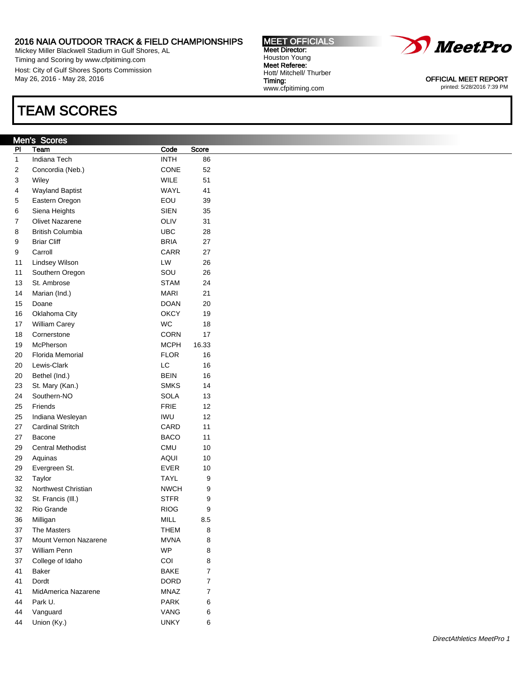Mickey Miller Blackwell Stadium in Gulf Shores, AL Timing and Scoring by www.cfpitiming.com Host: City of Gulf Shores Sports Commission May 26, 2016 - May 28, 2016

# TEAM SCORES

### Men's Scores

| PI | Team                     | Code        | Score  |
|----|--------------------------|-------------|--------|
| 1  | <b>Indiana Tech</b>      | <b>INTH</b> | 86     |
| 2  | Concordia (Neb.)         | <b>CONE</b> | 52     |
| 3  | Wiley                    | <b>WILE</b> | 51     |
| 4  | <b>Wayland Baptist</b>   | <b>WAYL</b> | 41     |
| 5  | Eastern Oregon           | EOU         | 39     |
| 6  | Siena Heights            | <b>SIEN</b> | 35     |
| 7  | <b>Olivet Nazarene</b>   | OLIV        | 31     |
| 8  | <b>British Columbia</b>  | UBC         | 28     |
| 9  | <b>Briar Cliff</b>       | <b>BRIA</b> | 27     |
| 9  | Carroll                  | CARR        | 27     |
| 11 | Lindsey Wilson           | LW          | 26     |
| 11 | Southern Oregon          | SOU         | 26     |
| 13 | St. Ambrose              | <b>STAM</b> | 24     |
| 14 | Marian (Ind.)            | <b>MARI</b> | 21     |
| 15 | Doane                    | <b>DOAN</b> | 20     |
| 16 | Oklahoma City            | <b>OKCY</b> | 19     |
| 17 | <b>William Carey</b>     | <b>WC</b>   | 18     |
| 18 | Cornerstone              | CORN        | 17     |
| 19 | McPherson                | MCPH        | 16.33  |
| 20 | <b>Florida Memorial</b>  | <b>FLOR</b> | 16     |
| 20 | Lewis-Clark              | LC          | 16     |
| 20 | Bethel (Ind.)            | <b>BEIN</b> | 16     |
| 23 | St. Mary (Kan.)          | <b>SMKS</b> | 14     |
| 24 | Southern-NO              | SOLA        | 13     |
| 25 | Friends                  | <b>FRIE</b> | 12     |
| 25 | Indiana Wesleyan         | IWU         | 12     |
| 27 | <b>Cardinal Stritch</b>  | CARD        | 11     |
| 27 | Bacone                   | <b>BACO</b> | 11     |
| 29 | <b>Central Methodist</b> | <b>CMU</b>  | 10     |
| 29 | Aquinas                  | AQUI        | 10     |
| 29 | Evergreen St.            | <b>EVER</b> | 10     |
| 32 | Taylor                   | <b>TAYL</b> | 9      |
| 32 | Northwest Christian      | <b>NWCH</b> | 9      |
| 32 | St. Francis (III.)       | STFR        | 9      |
| 32 | Rio Grande               | <b>RIOG</b> | 9      |
| 36 | Milligan                 | <b>MILL</b> | 8.5    |
| 37 | The Masters              | <b>THEM</b> | $\bf8$ |
| 37 | Mount Vernon Nazarene    | <b>MVNA</b> | 8      |
| 37 | William Penn             | <b>WP</b>   | 8      |
| 37 | College of Idaho         | COI         | 8      |
| 41 | Baker                    | <b>BAKE</b> | 7      |
| 41 | Dordt                    | <b>DORD</b> | 7      |
| 41 | MidAmerica Nazarene      | MNAZ        | 7      |
| 44 | Park U.                  | <b>PARK</b> | 6      |
| 44 | Vanguard                 | VANG        | 6      |
| 44 | Union (Ky.)              | <b>UNKY</b> | 6      |



OFFICIAL MEET REPORT printed: 5/28/2016 7:39 PM

MEET OFFICIALS Meet Director: Houston Young Meet Referee: Hott/ Mitchell/ Thurber Timing: www.cfpitiming.com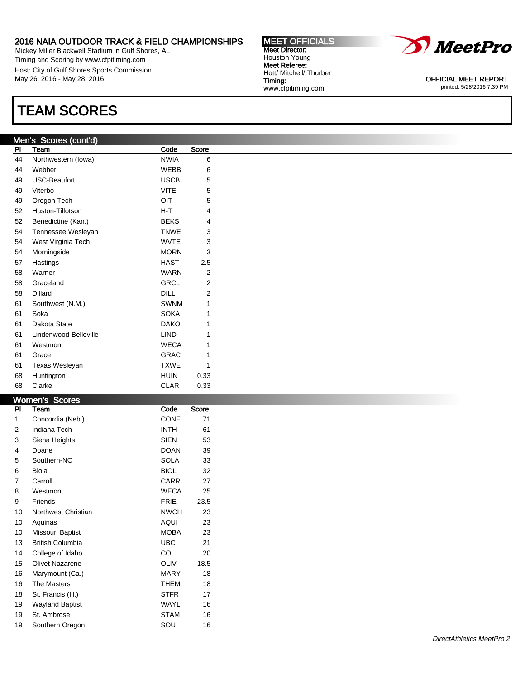Mickey Miller Blackwell Stadium in Gulf Shores, AL Timing and Scoring by www.cfpitiming.com Host: City of Gulf Shores Sports Commission May 26, 2016 - May 28, 2016

## TEAM SCORES

### Men's Scores (cont'd)

| .<br>PI | <u>uuruu</u><br>$\sim$<br>Team | Code        | Score |
|---------|--------------------------------|-------------|-------|
| 44      | Northwestern (lowa)            | <b>NWIA</b> | 6     |
| 44      | Webber                         | <b>WEBB</b> | 6     |
| 49      | <b>USC-Beaufort</b>            | <b>USCB</b> | 5     |
| 49      | Viterbo                        | <b>VITE</b> | 5     |
| 49      | Oregon Tech                    | OIT         | 5     |
| 52      | Huston-Tillotson               | $H-T$       | 4     |
| 52      | Benedictine (Kan.)             | <b>BEKS</b> | 4     |
| 54      | Tennessee Wesleyan             | <b>TNWE</b> | 3     |
| 54      | West Virginia Tech             | <b>WVTE</b> | 3     |
| 54      | Morningside                    | <b>MORN</b> | 3     |
| 57      | Hastings                       | <b>HAST</b> | 2.5   |
| 58      | Warner                         | <b>WARN</b> | 2     |
| 58      | Graceland                      | GRCL        | 2     |
| 58      | Dillard                        | DILL        | 2     |
| 61      | Southwest (N.M.)               | <b>SWNM</b> | 1     |
| 61      | Soka                           | <b>SOKA</b> | 1     |
| 61      | Dakota State                   | <b>DAKO</b> | 1     |
| 61      | Lindenwood-Belleville          | <b>LIND</b> | 1     |
| 61      | Westmont                       | <b>WECA</b> | 1     |
| 61      | Grace                          | <b>GRAC</b> | 1     |
| 61      | <b>Texas Wesleyan</b>          | <b>TXWE</b> | 1     |
| 68      | Huntington                     | <b>HUIN</b> | 0.33  |
| 68      | Clarke                         | <b>CLAR</b> | 0.33  |

|                | Women's Scores          |             |       |
|----------------|-------------------------|-------------|-------|
| <b>PI</b>      | Team                    | Code        | Score |
| 1              | Concordia (Neb.)        | <b>CONE</b> | 71    |
| $\overline{2}$ | Indiana Tech            | <b>INTH</b> | 61    |
| 3              | Siena Heights           | <b>SIEN</b> | 53    |
| 4              | Doane                   | <b>DOAN</b> | 39    |
| 5              | Southern-NO             | <b>SOLA</b> | 33    |
| 6              | Biola                   | <b>BIOL</b> | 32    |
| 7              | Carroll                 | CARR        | 27    |
| 8              | Westmont                | <b>WECA</b> | 25    |
| 9              | Friends                 | <b>FRIE</b> | 23.5  |
| 10             | Northwest Christian     | <b>NWCH</b> | 23    |
| 10             | Aquinas                 | <b>AQUI</b> | 23    |
| 10             | Missouri Baptist        | <b>MOBA</b> | 23    |
| 13             | <b>British Columbia</b> | <b>UBC</b>  | 21    |
| 14             | College of Idaho        | COI         | 20    |
| 15             | <b>Olivet Nazarene</b>  | OLIV        | 18.5  |
| 16             | Marymount (Ca.)         | <b>MARY</b> | 18    |
| 16             | The Masters             | <b>THEM</b> | 18    |
| 18             | St. Francis (III.)      | <b>STFR</b> | 17    |
| 19             | <b>Wayland Baptist</b>  | WAYL        | 16    |
| 19             | St. Ambrose             | <b>STAM</b> | 16    |
| 19             | Southern Oregon         | SOU         | 16    |



MEET OFFICIALS Meet Director: Houston Young Meet Referee: Hott/ Mitchell/ Thurber

www.cfpitiming.com

Timing:

OFFICIAL MEET REPORT printed: 5/28/2016 7:39 PM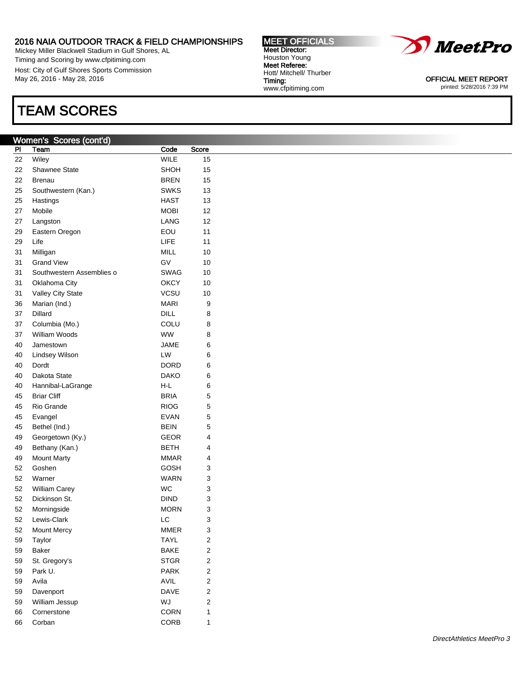Mickey Miller Blackwell Stadium in Gulf Shores, AL Timing and Scoring by www.cfpitiming.com Host: City of Gulf Shores Sports Commission May 26, 2016 - May 28, 2016

## TEAM SCORES

### Women's Scores (cont'd)

| PI | Team                      | Code        | Score |
|----|---------------------------|-------------|-------|
| 22 | Wiley                     | <b>WILE</b> | 15    |
| 22 | Shawnee State             | SHOH        | 15    |
| 22 | Brenau                    | BREN        | 15    |
| 25 | Southwestern (Kan.)       | <b>SWKS</b> | 13    |
| 25 | Hastings                  | HAST        | 13    |
| 27 | Mobile                    | MOBI        | 12    |
| 27 | Langston                  | LANG        | 12    |
| 29 | Eastern Oregon            | EOU         | 11    |
| 29 | Life                      | LIFE        | 11    |
| 31 | Milligan                  | <b>MILL</b> | 10    |
| 31 | <b>Grand View</b>         | GV          | 10    |
| 31 | Southwestern Assemblies o | SWAG        | 10    |
| 31 | Oklahoma City             | ОКСҮ        | 10    |
| 31 | Valley City State         | VCSU        | 10    |
| 36 | Marian (Ind.)             | <b>MARI</b> | 9     |
| 37 | Dillard                   | DILL        | 8     |
| 37 | Columbia (Mo.)            | COLU        | 8     |
| 37 | William Woods             | <b>WW</b>   | 8     |
| 40 | Jamestown                 | JAME        | 6     |
| 40 | Lindsey Wilson            | LW          | 6     |
| 40 | Dordt                     | DORD        | 6     |
| 40 | Dakota State              | <b>DAKO</b> | 6     |
| 40 | Hannibal-LaGrange         | H-L         | 6     |
| 45 | <b>Briar Cliff</b>        | BRIA        | 5     |
| 45 | Rio Grande                | <b>RIOG</b> | 5     |
| 45 | Evangel                   | <b>EVAN</b> | 5     |
| 45 | Bethel (Ind.)             | <b>BEIN</b> | 5     |
| 49 | Georgetown (Ky.)          | GEOR        | 4     |
| 49 | Bethany (Kan.)            | BETH        | 4     |
| 49 | <b>Mount Marty</b>        | <b>MMAR</b> | 4     |
| 52 | Goshen                    | GOSH        | 3     |
| 52 | Warner                    | <b>WARN</b> | 3     |
| 52 | <b>William Carey</b>      | WC          | 3     |
| 52 | Dickinson St.             | <b>DIND</b> | 3     |
| 52 | Morningside               | MORN        | 3     |
| 52 | Lewis-Clark               | LC          | 3     |
| 52 | Mount Mercy               | <b>MMER</b> | 3     |
| 59 | Taylor                    | <b>TAYL</b> | 2     |
| 59 | Baker                     | <b>BAKE</b> | 2     |
| 59 | St. Gregory's             | <b>STGR</b> | 2     |
| 59 | Park U.                   | <b>PARK</b> | 2     |
| 59 | Avila                     | AVIL        | 2     |
| 59 | Davenport                 | <b>DAVE</b> | 2     |
| 59 | William Jessup            | WJ          | 2     |
| 66 | Cornerstone               | <b>CORN</b> | 1     |
| 66 | Corban                    | CORB        | 1     |

*MeetPro* 

OFFICIAL MEET REPORT printed: 5/28/2016 7:39 PM